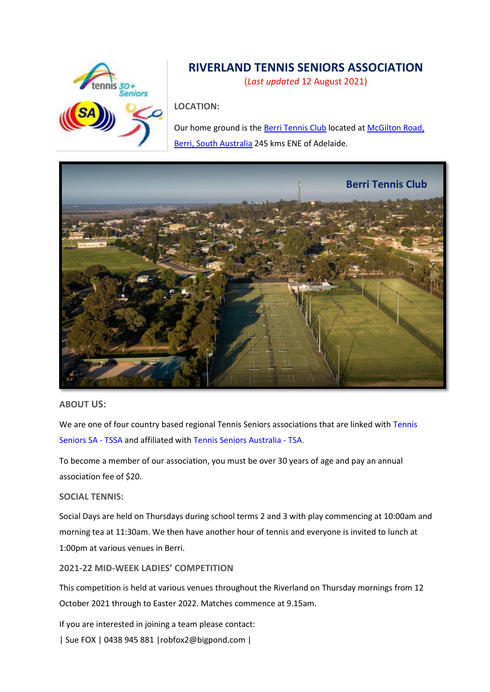

# **RIVERLAND TENNIS SENIORS ASSOCIATION**

(*Last updated* 12 August 2021)

**LOCATION:**

Our home ground is th[e Berri Tennis Club](https://berritennisclub.com/seniors-tennis-35/) located at McGilton Road, [Berri, South Australia](https://www.google.com/maps/place/McGilton+Rd,+Berri+SA+5343,+Australia/@-34.282937,140.609458,15z/data=!4m5!3m4!1s0x6ac728c5cdd0fd39:0x8f6776e281db4df!8m2!3d-34.282937!4d140.6094582?hl=en-US) 245 kms ENE of Adelaide.



#### **ABOUT US:**

We are one of four country based regional Tennis Seniors associations that are linked with Tennis [Seniors SA -](https://play.tennis.com.au/TennisSeniorsSA) TSSA and affiliated with [Tennis Seniors Australia -](http://www.tennisseniors.org.au/) TSA.

To become a member of our association, you must be over 30 years of age and pay an annual association fee of \$20.

#### **SOCIAL TENNIS:**

Social Days are held on Thursdays during school terms 2 and 3 with play commencing at 10:00am and morning tea at 11:30am. We then have another hour of tennis and everyone is invited to lunch at 1:00pm at various venues in Berri.

#### **2021-22 MID-WEEK LADIES' COMPETITION**

This competition is held at various venues throughout the Riverland on Thursday mornings from 12 October 2021 through to Easter 2022. Matches commence at 9.15am.

If you are interested in joining a team please contact:

| Sue FOX | 0438 945 881 [|robfox2@bigpond.com](mailto:robfox2@bigpond.com) |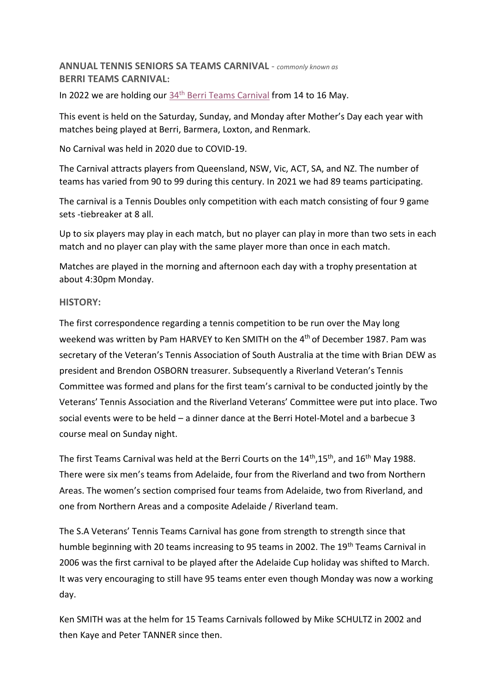**ANNUAL TENNIS SENIORS SA TEAMS CARNIVAL** - *commonly known as* **BERRI TEAMS CARNIVAL:**

In 2022 we are holding our 34<sup>th</sup> [Berri Teams Carnival](https://play.tennis.com.au/TennisSeniorsSA/Tennis/BerriCarnival) from 14 to 16 May.

This event is held on the Saturday, Sunday, and Monday after Mother's Day each year with matches being played at Berri, Barmera, Loxton, and Renmark.

No Carnival was held in 2020 due to COVID-19.

The Carnival attracts players from Queensland, NSW, Vic, ACT, SA, and NZ. The number of teams has varied from 90 to 99 during this century. In 2021 we had 89 teams participating.

The carnival is a Tennis Doubles only competition with each match consisting of four 9 game sets -tiebreaker at 8 all.

Up to six players may play in each match, but no player can play in more than two sets in each match and no player can play with the same player more than once in each match.

Matches are played in the morning and afternoon each day with a trophy presentation at about 4:30pm Monday.

### **HISTORY:**

The first correspondence regarding a tennis competition to be run over the May long weekend was written by Pam HARVEY to Ken SMITH on the 4<sup>th</sup> of December 1987. Pam was secretary of the Veteran's Tennis Association of South Australia at the time with Brian DEW as president and Brendon OSBORN treasurer. Subsequently a Riverland Veteran's Tennis Committee was formed and plans for the first team's carnival to be conducted jointly by the Veterans' Tennis Association and the Riverland Veterans' Committee were put into place. Two social events were to be held – a dinner dance at the Berri Hotel-Motel and a barbecue 3 course meal on Sunday night.

The first Teams Carnival was held at the Berri Courts on the 14<sup>th</sup>,15<sup>th</sup>, and 16<sup>th</sup> May 1988. There were six men's teams from Adelaide, four from the Riverland and two from Northern Areas. The women's section comprised four teams from Adelaide, two from Riverland, and one from Northern Areas and a composite Adelaide / Riverland team.

The S.A Veterans' Tennis Teams Carnival has gone from strength to strength since that humble beginning with 20 teams increasing to 95 teams in 2002. The 19<sup>th</sup> Teams Carnival in 2006 was the first carnival to be played after the Adelaide Cup holiday was shifted to March. It was very encouraging to still have 95 teams enter even though Monday was now a working day.

Ken SMITH was at the helm for 15 Teams Carnivals followed by Mike SCHULTZ in 2002 and then Kaye and Peter TANNER since then.